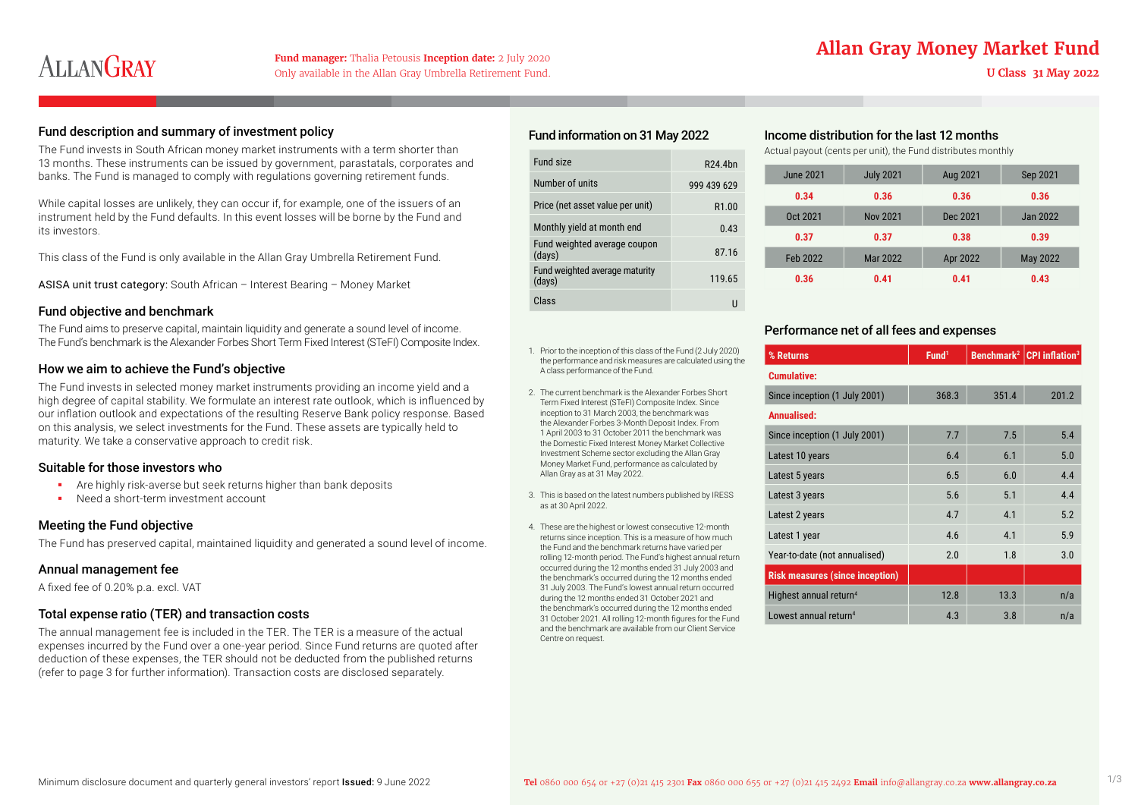## **Fund manager:** Thalia Petousis **Inception date:** 2 July 2020<br>**Allan Gray Money Market Fund**

# ALLANGRAY

#### Fund description and summary of investment policy

The Fund invests in South African money market instruments with a term shorter than 13 months. These instruments can be issued by government, parastatals, corporates and banks. The Fund is managed to comply with regulations governing retirement funds.

While capital losses are unlikely, they can occur if, for example, one of the issuers of an instrument held by the Fund defaults. In this event losses will be borne by the Fund and its investors.

This class of the Fund is only available in the Allan Gray Umbrella Retirement Fund.

ASISA unit trust category: South African – Interest Bearing – Money Market

#### Fund objective and benchmark

The Fund aims to preserve capital, maintain liquidity and generate a sound level of income. The Fund's benchmark is the Alexander Forbes Short Term Fixed Interest (STeFI) Composite Index.

#### How we aim to achieve the Fund's objective

The Fund invests in selected money market instruments providing an income yield and a high degree of capital stability. We formulate an interest rate outlook, which is influenced by our inflation outlook and expectations of the resulting Reserve Bank policy response. Based on this analysis, we select investments for the Fund. These assets are typically held to maturity. We take a conservative approach to credit risk.

#### Suitable for those investors who

- Are highly risk-averse but seek returns higher than bank deposits
- Need a short-term investment account

#### Meeting the Fund objective

The Fund has preserved capital, maintained liquidity and generated a sound level of income.

#### Annual management fee

A fixed fee of 0.20% p.a. excl. VAT

#### Total expense ratio (TER) and transaction costs

The annual management fee is included in the TER. The TER is a measure of the actual expenses incurred by the Fund over a one-year period. Since Fund returns are quoted after deduction of these expenses, the TER should not be deducted from the published returns (refer to page 3 for further information). Transaction costs are disclosed separately.

#### Fund information on 31 May 2022

| Fund size                                | R <sub>24</sub> 4 <sub>hn</sub> |
|------------------------------------------|---------------------------------|
| Number of units                          | 999 439 629                     |
| Price (net asset value per unit)         | R <sub>1.00</sub>               |
| Monthly yield at month end               | 0.43                            |
| Fund weighted average coupon<br>(days)   | 87.16                           |
| Fund weighted average maturity<br>(days) | 119.65                          |
| Class                                    |                                 |

- 1. Prior to the inception of this class of the Fund (2 July 2020) the performance and risk measures are calculated using the A class performance of the Fund.
- 2. The current benchmark is the Alexander Forbes Short Term Fixed Interest (STeFI) Composite Index. Since inception to 31 March 2003, the benchmark was the Alexander Forbes 3-Month Deposit Index. From 1 April 2003 to 31 October 2011 the benchmark was the Domestic Fixed Interest Money Market Collective Investment Scheme sector excluding the Allan Gray Money Market Fund, performance as calculated by Allan Gray as at 31 May 2022.
- 3. This is based on the latest numbers published by IRESS as at 30 April 2022.
- 4. These are the highest or lowest consecutive 12-month returns since inception. This is a measure of how much the Fund and the benchmark returns have varied per rolling 12-month period. The Fund's highest annual return occurred during the 12 months ended 31 July 2003 and the benchmark's occurred during the 12 months ended 31 July 2003. The Fund's lowest annual return occurred during the 12 months ended 31 October 2021 and the benchmark's occurred during the 12 months ended 31 October 2021. All rolling 12-month figures for the Fund and the benchmark are available from our Client Service Centre on request.

#### Income distribution for the last 12 months

Actual payout (cents per unit), the Fund distributes monthly

| June 2021 | <b>July 2021</b> | Aug 2021 | Sep 2021 |
|-----------|------------------|----------|----------|
| 0.34      | 0.36             | 0.36     | 0.36     |
| Oct 2021  | <b>Nov 2021</b>  | Dec 2021 | Jan 2022 |
| 0.37      | 0.37             | 0.38     | 0.39     |
| Feb 2022  | Mar 2022         | Apr 2022 | May 2022 |
| 0.36      | 0.41             | 0.41     | 0.43     |

#### Performance net of all fees and expenses

| % Returns                              | Fund <sup>1</sup> | Benchmark <sup>2</sup> | <b>CPI</b> inflation <sup>3</sup> |
|----------------------------------------|-------------------|------------------------|-----------------------------------|
| <b>Cumulative:</b>                     |                   |                        |                                   |
| Since inception (1 July 2001)          | 368.3             | 351.4                  | 201.2                             |
| <b>Annualised:</b>                     |                   |                        |                                   |
| Since inception (1 July 2001)          | 7.7               | 7.5                    | 5.4                               |
| Latest 10 years                        | 6.4               | 6.1                    | 5.0                               |
| Latest 5 years                         | 6.5               | 6.0                    | 4.4                               |
| Latest 3 years                         | 5.6               | 5.1                    | 4.4                               |
| Latest 2 years                         | 4.7               | 4.1                    | 5.2                               |
| Latest 1 year                          | 4.6               | 4.1                    | 5.9                               |
| Year-to-date (not annualised)          | 2.0               | 1.8                    | 3.0                               |
| <b>Risk measures (since inception)</b> |                   |                        |                                   |
| Highest annual return <sup>4</sup>     | 12.8              | 13.3                   | n/a                               |
| Lowest annual return <sup>4</sup>      | 4.3               | 3.8                    | n/a                               |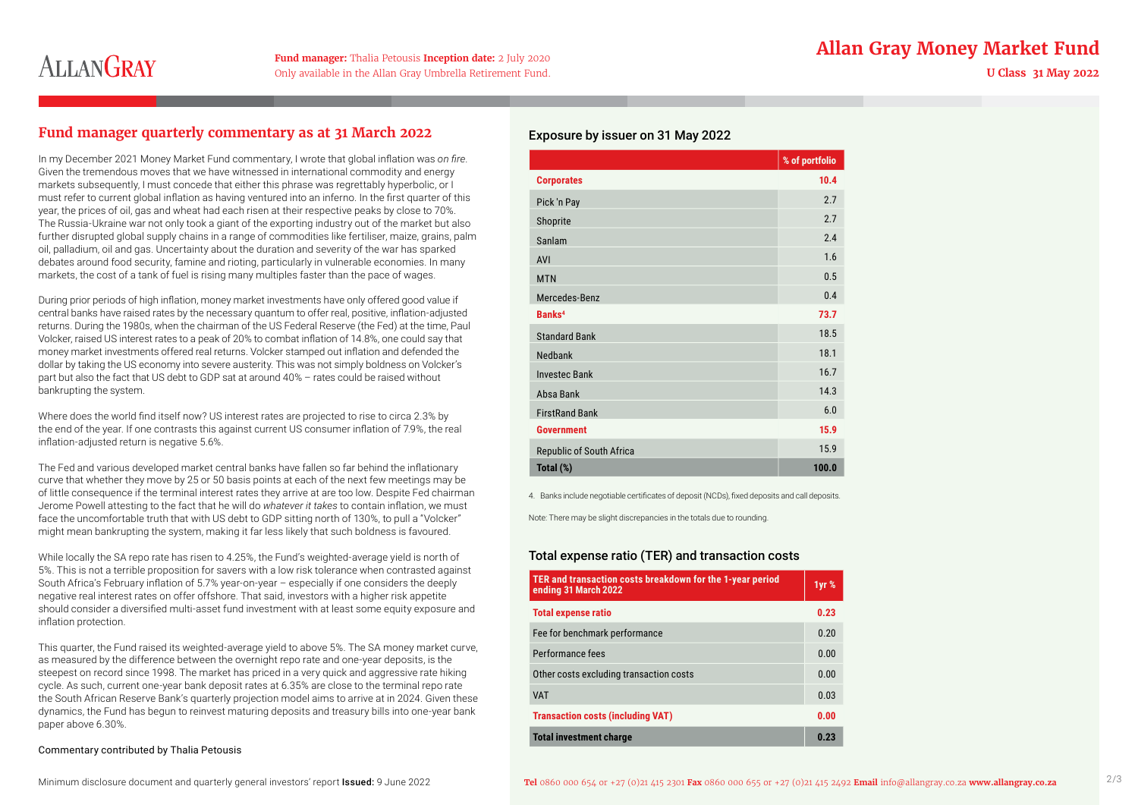### **Fund manager:** Thalia Petousis **Inception date:** 2 July 2020<br>**Allan Gray Money Market Fund**

# **ALLANGRAY**

Only available in the Allan Gray Umbrella Retirement Fund.

#### **Fund manager quarterly commentary as at 31 March 2022**

In my December 2021 Money Market Fund commentary, I wrote that global inflation was *on fire*. Given the tremendous moves that we have witnessed in international commodity and energy markets subsequently, I must concede that either this phrase was regrettably hyperbolic, or I must refer to current global inflation as having ventured into an inferno. In the first quarter of this year, the prices of oil, gas and wheat had each risen at their respective peaks by close to 70%. The Russia-Ukraine war not only took a giant of the exporting industry out of the market but also further disrupted global supply chains in a range of commodities like fertiliser, maize, grains, palm oil, palladium, oil and gas. Uncertainty about the duration and severity of the war has sparked debates around food security, famine and rioting, particularly in vulnerable economies. In many markets, the cost of a tank of fuel is rising many multiples faster than the pace of wages.

During prior periods of high inflation, money market investments have only offered good value if central banks have raised rates by the necessary quantum to offer real, positive, inflation-adjusted returns. During the 1980s, when the chairman of the US Federal Reserve (the Fed) at the time, Paul Volcker, raised US interest rates to a peak of 20% to combat inflation of 14.8%, one could say that money market investments offered real returns. Volcker stamped out inflation and defended the dollar by taking the US economy into severe austerity. This was not simply boldness on Volcker's part but also the fact that US debt to GDP sat at around 40% – rates could be raised without bankrupting the system.

Where does the world find itself now? US interest rates are projected to rise to circa 2.3% by the end of the year. If one contrasts this against current US consumer inflation of 7.9%, the real inflation-adjusted return is negative 5.6%.

The Fed and various developed market central banks have fallen so far behind the inflationary curve that whether they move by 25 or 50 basis points at each of the next few meetings may be of little consequence if the terminal interest rates they arrive at are too low. Despite Fed chairman Jerome Powell attesting to the fact that he will do *whatever it takes* to contain inflation, we must face the uncomfortable truth that with US debt to GDP sitting north of 130%, to pull a "Volcker" might mean bankrupting the system, making it far less likely that such boldness is favoured.

While locally the SA repo rate has risen to 4.25%, the Fund's weighted-average yield is north of 5%. This is not a terrible proposition for savers with a low risk tolerance when contrasted against South Africa's February inflation of 5.7% year-on-year – especially if one considers the deeply negative real interest rates on offer offshore. That said, investors with a higher risk appetite should consider a diversified multi-asset fund investment with at least some equity exposure and inflation protection.

This quarter, the Fund raised its weighted-average yield to above 5%. The SA money market curve, as measured by the difference between the overnight repo rate and one-year deposits, is the steepest on record since 1998. The market has priced in a very quick and aggressive rate hiking cycle. As such, current one-year bank deposit rates at 6.35% are close to the terminal repo rate the South African Reserve Bank's quarterly projection model aims to arrive at in 2024. Given these dynamics, the Fund has begun to reinvest maturing deposits and treasury bills into one-year bank paper above 6.30%.

#### Commentary contributed by Thalia Petousis

#### Exposure by issuer on 31 May 2022

|                                 | % of portfolio |
|---------------------------------|----------------|
| <b>Corporates</b>               | 10.4           |
| Pick 'n Pay                     | 2.7            |
| Shoprite                        | 2.7            |
| Sanlam                          | 2.4            |
| <b>AVI</b>                      | 1.6            |
| <b>MTN</b>                      | 0.5            |
| Mercedes-Benz                   | 0.4            |
| Banks <sup>4</sup>              | 73.7           |
| <b>Standard Bank</b>            | 18.5           |
| Nedbank                         | 18.1           |
| <b>Investec Bank</b>            | 16.7           |
| Absa Bank                       | 14.3           |
| <b>FirstRand Bank</b>           | 6.0            |
| <b>Government</b>               | 15.9           |
| <b>Republic of South Africa</b> | 15.9           |
| Total (%)                       | 100.0          |

4. Banks include negotiable certificates of deposit (NCDs), fixed deposits and call deposits.

Note: There may be slight discrepancies in the totals due to rounding.

#### Total expense ratio (TER) and transaction costs

| TER and transaction costs breakdown for the 1-year period<br>ending 31 March 2022 |      |
|-----------------------------------------------------------------------------------|------|
| <b>Total expense ratio</b>                                                        | 0.23 |
| Fee for benchmark performance                                                     | 0.20 |
| Performance fees                                                                  | 0.00 |
| Other costs excluding transaction costs                                           | 0.00 |
| <b>VAT</b>                                                                        | 0.03 |
| <b>Transaction costs (including VAT)</b>                                          | 0.00 |
| <b>Total investment charge</b>                                                    | 0.23 |